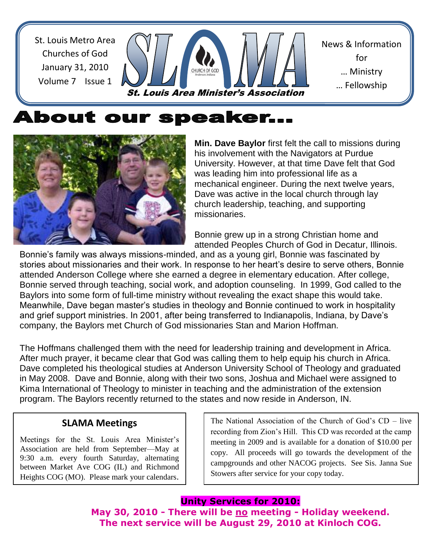St. Louis Metro Area Churches of God January 31, 2010 Volume 7 Issue 1

St. Louis Area Minister's Association

News & Information for … Ministry … Fellowship

<u>… Sharing Shari</u>

# About our speaker...



**Min. Dave Baylor** first felt the call to missions during his involvement with the Navigators at Purdue University. However, at that time Dave felt that God was leading him into professional life as a mechanical engineer. During the next twelve years, Dave was active in the local church through lay church leadership, teaching, and supporting missionaries.

Bonnie grew up in a strong Christian home and attended Peoples Church of God in Decatur, Illinois.

Bonnie's family was always missions-minded, and as a young girl, Bonnie was fascinated by stories about missionaries and their work. In response to her heart's desire to serve others, Bonnie attended Anderson College where she earned a degree in elementary education. After college, Bonnie served through teaching, social work, and adoption counseling. In 1999, God called to the Baylors into some form of full-time ministry without revealing the exact shape this would take. Meanwhile, Dave began master's studies in theology and Bonnie continued to work in hospitality and grief support ministries. In 2001, after being transferred to Indianapolis, Indiana, by Dave's company, the Baylors met Church of God missionaries Stan and Marion Hoffman.

The Hoffmans challenged them with the need for leadership training and development in Africa. After much prayer, it became clear that God was calling them to help equip his church in Africa. Dave completed his theological studies at Anderson University School of Theology and graduated in May 2008. Dave and Bonnie, along with their two sons, Joshua and Michael were assigned to Kima International of Theology to minister in teaching and the administration of the extension program. The Baylors recently returned to the states and now reside in Anderson, IN.

### **SLAMA Meetings**

Meetings for the St. Louis Area Minister's Association are held from September—May at 9:30 a.m. every fourth Saturday, alternating between Market Ave COG (IL) and Richmond Heights COG (MO). Please mark your calendars.

The National Association of the Church of God's CD – live recording from Zion's Hill. This CD was recorded at the camp meeting in 2009 and is available for a donation of \$10.00 per copy. All proceeds will go towards the development of the campgrounds and other NACOG projects. See Sis. Janna Sue Stowers after service for your copy today.

### **Unity Services for 2010:**

**May 30, 2010 - There will be no meeting - Holiday weekend. The next service will be August 29, 2010 at Kinloch COG.**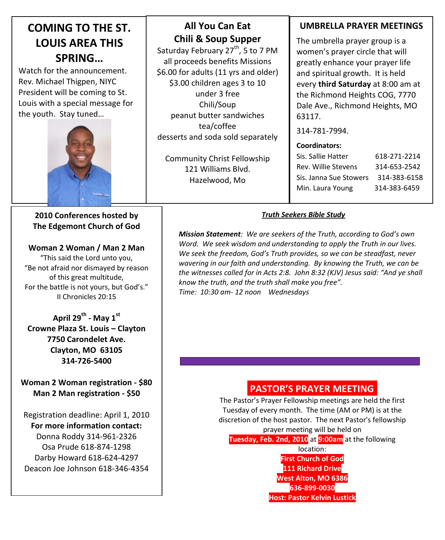## **COMING TO THE ST. LOUIS AREA THIS SPRING…**

Watch for the announcement. Rev. Michael Thigpen, NIYC President will be coming to St. Louis with a special message for the youth. Stay tuned…



#### **2010 Conferences hosted by The Edgemont Church of God**

**Woman 2 Woman / Man 2 Man** "This said the Lord unto you, "Be not afraid nor dismayed by reason of this great multitude, For the battle is not yours, but God's." II Chronicles 20:15

**April 29th - May 1st Crowne Plaza St. Louis – Clayton 7750 Carondelet Ave. Clayton, MO 63105 314-726-5400**

**Woman 2 Woman registration - \$80 Man 2 Man registration - \$50**

Registration deadline: April 1, 2010 **For more information contact:** Donna Roddy 314-961-2326 Osa Prude 618-874-1298 Darby Howard 618-624-4297 Deacon Joe Johnson 618-346-4354

## **Chili & Soup Supper All You Can Eat**

Saturday February 27<sup>th</sup>, 5 to 7 PM all proceeds benefits Missions \$6.00 for adults (11 yrs and older) \$3.00 children ages 3 to 10 under 3 free Chili/Soup peanut butter sandwiches tea/coffee desserts and soda sold separately

Community Christ Fellowship 121 Williams Blvd. Hazelwood, Mo

### **UMBRELLA PRAYER MEETINGS**

The umbrella prayer group is a women's prayer circle that will greatly enhance your prayer life and spiritual growth. It is held every **third Saturday** at 8:00 am at the Richmond Heights COG, 7770 Dale Ave., Richmond Heights, MO 63117.

314-781-7994.

#### **Coordinators:**

| Sis. Sallie Hatter     | 618-271-2214 |
|------------------------|--------------|
| Rev. Willie Stevens    | 314-653-2542 |
| Sis. Janna Sue Stowers | 314-383-6158 |
| Min. Laura Young       | 314-383-6459 |

#### *Truth Seekers Bible Study*

*Mission Statement: We are seekers of the Truth, according to God's own Word. We seek wisdom and understanding to apply the Truth in our lives. We seek the freedom, God's Truth provides, so we can be steadfast, never wavering in our faith and understanding. By knowing the Truth, we can be the witnesses called for in Acts 2:8. John 8:32 (KJV) Jesus said: "And ye shall know the truth, and the truth shall make you free". Time: 10:30 am- 12 noon Wednesdays*

### **PASTOR'S PRAYER MEETING.**

The Pastor's Prayer Fellowship meetings are held the first Tuesday of every month. The time (AM or PM) is at the discretion of the host pastor. The next Pastor's fellowship prayer meeting will be held on **Tuesday, Feb. 2nd, 2010** at **9:00am** at the following

> location: **First Church of God 111 Richard Drive West Alton, MO 6386 636-899-0030 Host: Pastor Kelvin Lustick**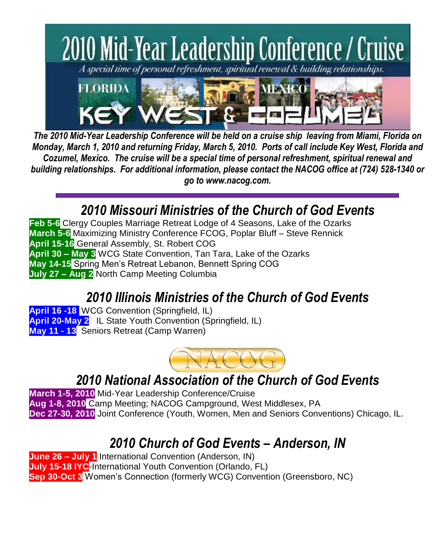

*The 2010 Mid-Year Leadership Conference will be held on a cruise ship leaving from Miami, Florida on Monday, March 1, 2010 and returning Friday, March 5, 2010. Ports of call include Key West, Florida and Cozumel, Mexico. The cruise will be a special time of personal refreshment, spiritual renewal and building relationships. For additional information, please contact the NACOG office at (724) 528-1340 or go to www.nacog.com.*

# *2010 Missouri Ministries of the Church of God Events*

**Feb 5-6** Clergy Couples Marriage Retreat Lodge of 4 Seasons, Lake of the Ozarks **March 5-6** Maximizing Ministry Conference FCOG, Poplar Bluff – Steve Rennick **April 15-16** General Assembly, St. Robert COG **April 30 – May 3** WCG State Convention, Tan Tara, Lake of the Ozarks **May 14-15** Spring Men's Retreat Lebanon, Bennett Spring COG **July 27 – Aug 2** North Camp Meeting Columbia

# *2010 Illinois Ministries of the Church of God Events*

**April 16 -18** WCG Convention (Springfield, IL) **April 20-May 2** IL State Youth Convention (Springfield, IL) **May 11 - 13** Seniors Retreat (Camp Warren)



# *2010 National Association of the Church of God Events*

**March 1-5, 2010** Mid-Year Leadership Conference/Cruise **Aug 1-8, 2010** Camp Meeting; NACOG Campground, West Middlesex, PA **Dec 27-30, 2010** Joint Conference (Youth, Women, Men and Seniors Conventions) Chicago, IL.

# *2010 Church of God Events – Anderson, IN*

**June 26 – July 1** International Convention (Anderson, IN) **July 15-18 IYC**-International Youth Convention (Orlando, FL) **Sep 30-Oct 3** Women's Connection (formerly WCG) Convention (Greensboro, NC)